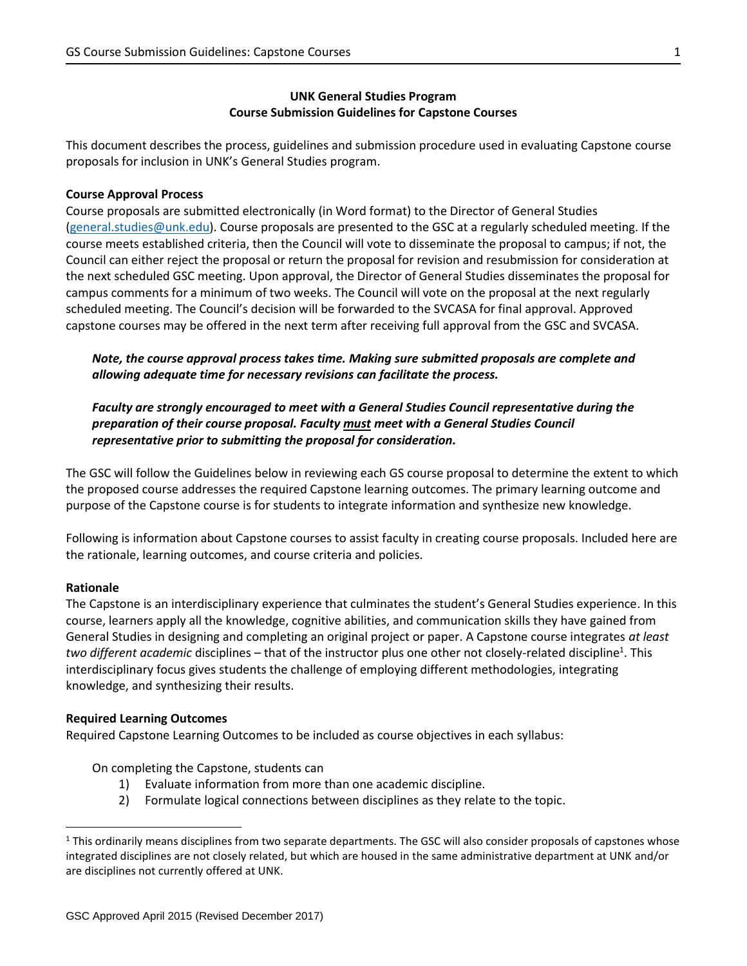## **UNK General Studies Program Course Submission Guidelines for Capstone Courses**

This document describes the process, guidelines and submission procedure used in evaluating Capstone course proposals for inclusion in UNK's General Studies program.

## **Course Approval Process**

Course proposals are submitted electronically (in Word format) to the Director of General Studies [\(general.studies@unk.edu\)](mailto:general.studies@unk.edu). Course proposals are presented to the GSC at a regularly scheduled meeting. If the course meets established criteria, then the Council will vote to disseminate the proposal to campus; if not, the Council can either reject the proposal or return the proposal for revision and resubmission for consideration at the next scheduled GSC meeting. Upon approval, the Director of General Studies disseminates the proposal for campus comments for a minimum of two weeks. The Council will vote on the proposal at the next regularly scheduled meeting. The Council's decision will be forwarded to the SVCASA for final approval. Approved capstone courses may be offered in the next term after receiving full approval from the GSC and SVCASA.

*Note, the course approval process takes time. Making sure submitted proposals are complete and allowing adequate time for necessary revisions can facilitate the process.*

*Faculty are strongly encouraged to meet with a General Studies Council representative during the preparation of their course proposal. Faculty must meet with a General Studies Council representative prior to submitting the proposal for consideration.*

The GSC will follow the Guidelines below in reviewing each GS course proposal to determine the extent to which the proposed course addresses the required Capstone learning outcomes. The primary learning outcome and purpose of the Capstone course is for students to integrate information and synthesize new knowledge.

Following is information about Capstone courses to assist faculty in creating course proposals. Included here are the rationale, learning outcomes, and course criteria and policies.

## **Rationale**

 $\overline{a}$ 

The Capstone is an interdisciplinary experience that culminates the student's General Studies experience. In this course, learners apply all the knowledge, cognitive abilities, and communication skills they have gained from General Studies in designing and completing an original project or paper. A Capstone course integrates *at least*  two different academic disciplines – that of the instructor plus one other not closely-related discipline<sup>1</sup>. This interdisciplinary focus gives students the challenge of employing different methodologies, integrating knowledge, and synthesizing their results.

## **Required Learning Outcomes**

Required Capstone Learning Outcomes to be included as course objectives in each syllabus:

On completing the Capstone, students can

- 1) Evaluate information from more than one academic discipline.
- 2) Formulate logical connections between disciplines as they relate to the topic.

 $1$  This ordinarily means disciplines from two separate departments. The GSC will also consider proposals of capstones whose integrated disciplines are not closely related, but which are housed in the same administrative department at UNK and/or are disciplines not currently offered at UNK.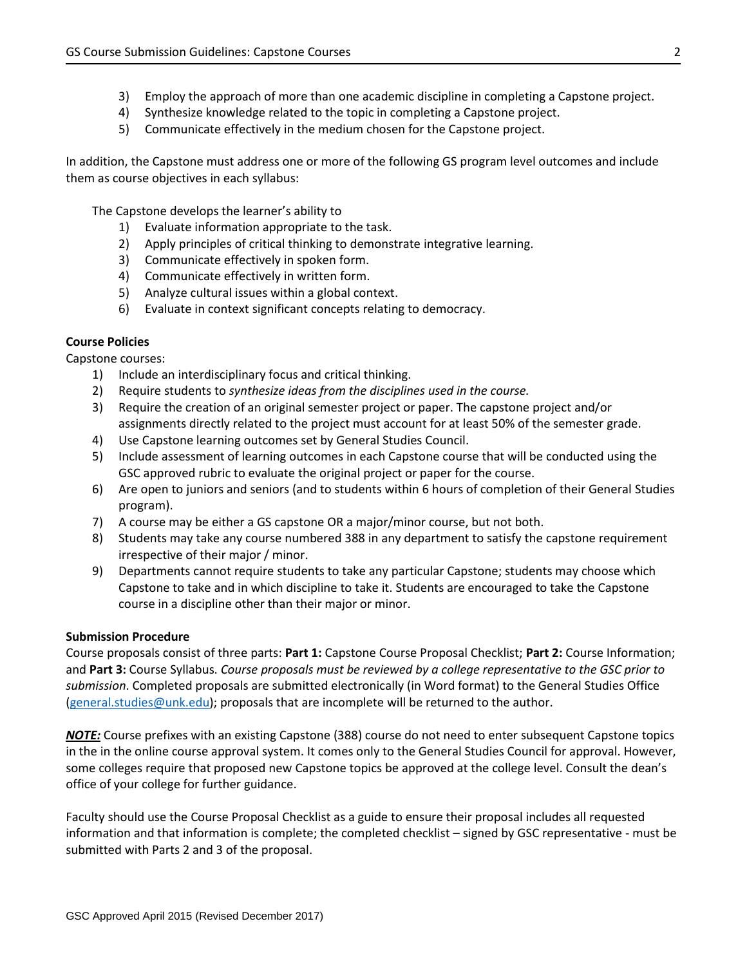- 3) Employ the approach of more than one academic discipline in completing a Capstone project.
- 4) Synthesize knowledge related to the topic in completing a Capstone project.
- 5) Communicate effectively in the medium chosen for the Capstone project.

In addition, the Capstone must address one or more of the following GS program level outcomes and include them as course objectives in each syllabus:

The Capstone develops the learner's ability to

- 1) Evaluate information appropriate to the task.
- 2) Apply principles of critical thinking to demonstrate integrative learning.
- 3) Communicate effectively in spoken form.
- 4) Communicate effectively in written form.
- 5) Analyze cultural issues within a global context.
- 6) Evaluate in context significant concepts relating to democracy.

## **Course Policies**

Capstone courses:

- 1) Include an interdisciplinary focus and critical thinking.
- 2) Require students to *synthesize ideas from the disciplines used in the course.*
- 3) Require the creation of an original semester project or paper. The capstone project and/or assignments directly related to the project must account for at least 50% of the semester grade.
- 4) Use Capstone learning outcomes set by General Studies Council.
- 5) Include assessment of learning outcomes in each Capstone course that will be conducted using the GSC approved rubric to evaluate the original project or paper for the course.
- 6) Are open to juniors and seniors (and to students within 6 hours of completion of their General Studies program).
- 7) A course may be either a GS capstone OR a major/minor course, but not both.
- 8) Students may take any course numbered 388 in any department to satisfy the capstone requirement irrespective of their major / minor.
- 9) Departments cannot require students to take any particular Capstone; students may choose which Capstone to take and in which discipline to take it. Students are encouraged to take the Capstone course in a discipline other than their major or minor.

## **Submission Procedure**

Course proposals consist of three parts: **Part 1:** Capstone Course Proposal Checklist; **Part 2:** Course Information; and **Part 3:** Course Syllabus. *Course proposals must be reviewed by a college representative to the GSC prior to submission*. Completed proposals are submitted electronically (in Word format) to the General Studies Office [\(general.studies@unk.edu\)](mailto:general.studies@unk.edu); proposals that are incomplete will be returned to the author.

*NOTE:* Course prefixes with an existing Capstone (388) course do not need to enter subsequent Capstone topics in the in the online course approval system. It comes only to the General Studies Council for approval. However, some colleges require that proposed new Capstone topics be approved at the college level. Consult the dean's office of your college for further guidance.

Faculty should use the Course Proposal Checklist as a guide to ensure their proposal includes all requested information and that information is complete; the completed checklist – signed by GSC representative - must be submitted with Parts 2 and 3 of the proposal.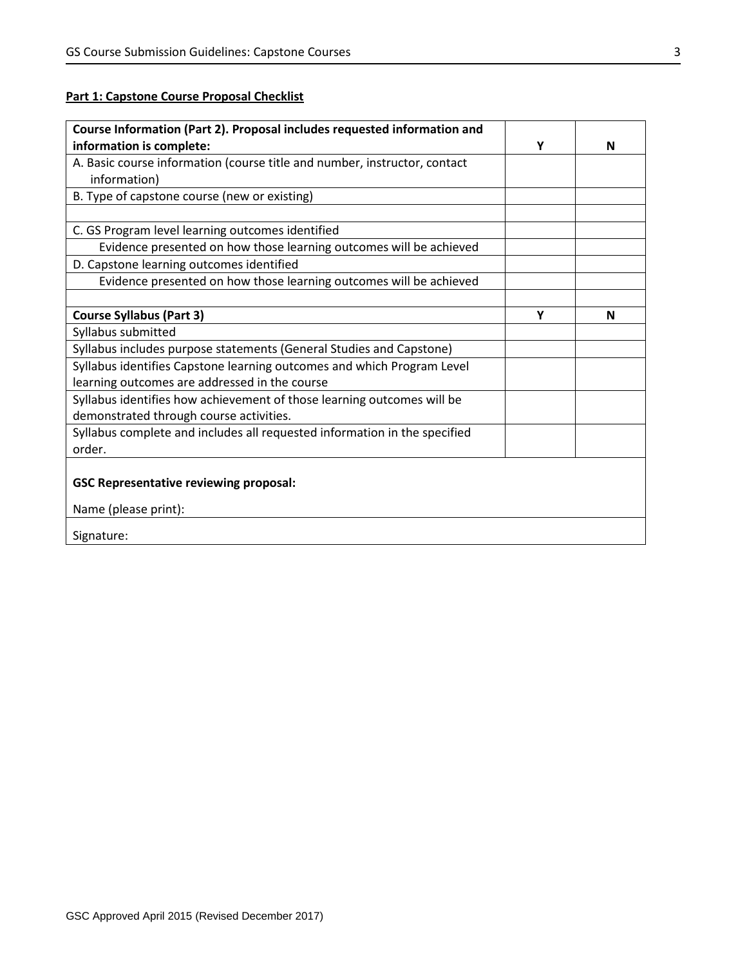# **Part 1: Capstone Course Proposal Checklist**

| Course Information (Part 2). Proposal includes requested information and  |   |   |
|---------------------------------------------------------------------------|---|---|
| information is complete:                                                  | Υ | N |
| A. Basic course information (course title and number, instructor, contact |   |   |
| information)                                                              |   |   |
| B. Type of capstone course (new or existing)                              |   |   |
|                                                                           |   |   |
| C. GS Program level learning outcomes identified                          |   |   |
| Evidence presented on how those learning outcomes will be achieved        |   |   |
| D. Capstone learning outcomes identified                                  |   |   |
| Evidence presented on how those learning outcomes will be achieved        |   |   |
|                                                                           |   |   |
| <b>Course Syllabus (Part 3)</b>                                           | Υ | N |
| Syllabus submitted                                                        |   |   |
| Syllabus includes purpose statements (General Studies and Capstone)       |   |   |
| Syllabus identifies Capstone learning outcomes and which Program Level    |   |   |
| learning outcomes are addressed in the course                             |   |   |
| Syllabus identifies how achievement of those learning outcomes will be    |   |   |
| demonstrated through course activities.                                   |   |   |
| Syllabus complete and includes all requested information in the specified |   |   |
| order.                                                                    |   |   |
|                                                                           |   |   |
| <b>GSC Representative reviewing proposal:</b>                             |   |   |
| Name (please print):                                                      |   |   |
| Signature:                                                                |   |   |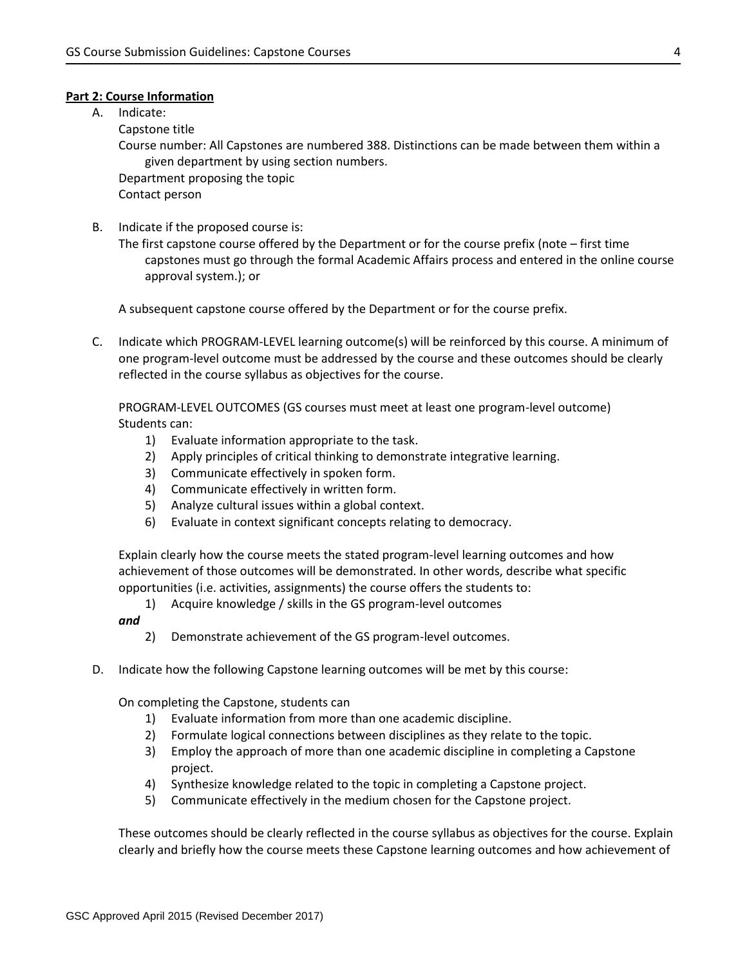### **Part 2: Course Information**

A. Indicate:

Capstone title

Course number: All Capstones are numbered 388. Distinctions can be made between them within a given department by using section numbers.

Department proposing the topic Contact person

B. Indicate if the proposed course is:

The first capstone course offered by the Department or for the course prefix (note – first time capstones must go through the formal Academic Affairs process and entered in the online course approval system.); or

A subsequent capstone course offered by the Department or for the course prefix.

C. Indicate which PROGRAM-LEVEL learning outcome(s) will be reinforced by this course. A minimum of one program-level outcome must be addressed by the course and these outcomes should be clearly reflected in the course syllabus as objectives for the course.

PROGRAM-LEVEL OUTCOMES (GS courses must meet at least one program-level outcome) Students can:

- 1) Evaluate information appropriate to the task.
- 2) Apply principles of critical thinking to demonstrate integrative learning.
- 3) Communicate effectively in spoken form.
- 4) Communicate effectively in written form.
- 5) Analyze cultural issues within a global context.
- 6) Evaluate in context significant concepts relating to democracy.

Explain clearly how the course meets the stated program-level learning outcomes and how achievement of those outcomes will be demonstrated. In other words, describe what specific opportunities (i.e. activities, assignments) the course offers the students to:

1) Acquire knowledge / skills in the GS program-level outcomes

## *and*

- 2) Demonstrate achievement of the GS program-level outcomes.
- D. Indicate how the following Capstone learning outcomes will be met by this course:

On completing the Capstone, students can

- 1) Evaluate information from more than one academic discipline.
- 2) Formulate logical connections between disciplines as they relate to the topic.
- 3) Employ the approach of more than one academic discipline in completing a Capstone project.
- 4) Synthesize knowledge related to the topic in completing a Capstone project.
- 5) Communicate effectively in the medium chosen for the Capstone project.

These outcomes should be clearly reflected in the course syllabus as objectives for the course. Explain clearly and briefly how the course meets these Capstone learning outcomes and how achievement of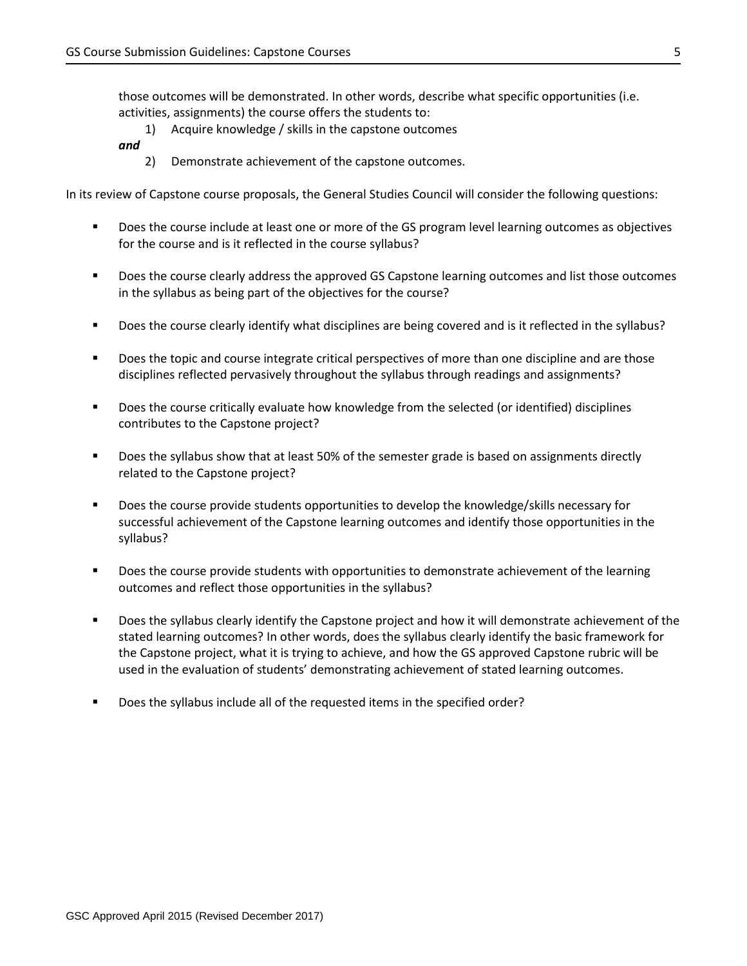those outcomes will be demonstrated. In other words, describe what specific opportunities (i.e. activities, assignments) the course offers the students to:

- 1) Acquire knowledge / skills in the capstone outcomes
- *and* 
	- 2) Demonstrate achievement of the capstone outcomes.

In its review of Capstone course proposals, the General Studies Council will consider the following questions:

- **Does the course include at least one or more of the GS program level learning outcomes as objectives** for the course and is it reflected in the course syllabus?
- **Does the course clearly address the approved GS Capstone learning outcomes and list those outcomes** in the syllabus as being part of the objectives for the course?
- Does the course clearly identify what disciplines are being covered and is it reflected in the syllabus?
- **•** Does the topic and course integrate critical perspectives of more than one discipline and are those disciplines reflected pervasively throughout the syllabus through readings and assignments?
- Does the course critically evaluate how knowledge from the selected (or identified) disciplines contributes to the Capstone project?
- **Does the syllabus show that at least 50% of the semester grade is based on assignments directly** related to the Capstone project?
- **Does the course provide students opportunities to develop the knowledge/skills necessary for** successful achievement of the Capstone learning outcomes and identify those opportunities in the syllabus?
- **Does the course provide students with opportunities to demonstrate achievement of the learning** outcomes and reflect those opportunities in the syllabus?
- **Does the syllabus clearly identify the Capstone project and how it will demonstrate achievement of the** stated learning outcomes? In other words, does the syllabus clearly identify the basic framework for the Capstone project, what it is trying to achieve, and how the GS approved Capstone rubric will be used in the evaluation of students' demonstrating achievement of stated learning outcomes.
- Does the syllabus include all of the requested items in the specified order?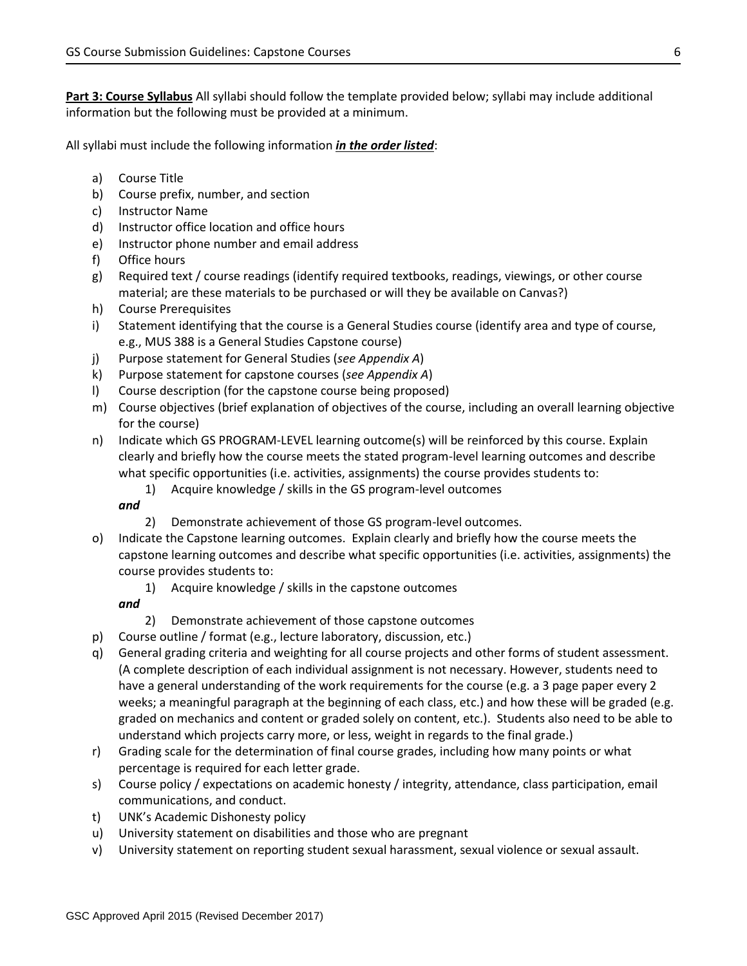**Part 3: Course Syllabus** All syllabi should follow the template provided below; syllabi may include additional information but the following must be provided at a minimum.

All syllabi must include the following information *in the order listed*:

- a) Course Title
- b) Course prefix, number, and section
- c) Instructor Name
- d) Instructor office location and office hours
- e) Instructor phone number and email address
- f) Office hours
- g) Required text / course readings (identify required textbooks, readings, viewings, or other course material; are these materials to be purchased or will they be available on Canvas?)
- h) Course Prerequisites
- i) Statement identifying that the course is a General Studies course (identify area and type of course, e.g., MUS 388 is a General Studies Capstone course)
- j) Purpose statement for General Studies (*see Appendix A*)
- k) Purpose statement for capstone courses (*see Appendix A*)
- l) Course description (for the capstone course being proposed)
- m) Course objectives (brief explanation of objectives of the course, including an overall learning objective for the course)
- n) Indicate which GS PROGRAM-LEVEL learning outcome(s) will be reinforced by this course. Explain clearly and briefly how the course meets the stated program-level learning outcomes and describe what specific opportunities (i.e. activities, assignments) the course provides students to:
	- 1) Acquire knowledge / skills in the GS program-level outcomes

### *and*

- 2) Demonstrate achievement of those GS program-level outcomes.
- o) Indicate the Capstone learning outcomes. Explain clearly and briefly how the course meets the capstone learning outcomes and describe what specific opportunities (i.e. activities, assignments) the course provides students to:
	- 1) Acquire knowledge / skills in the capstone outcomes

# *and*

- 2) Demonstrate achievement of those capstone outcomes
- p) Course outline / format (e.g., lecture laboratory, discussion, etc.)
- q) General grading criteria and weighting for all course projects and other forms of student assessment. (A complete description of each individual assignment is not necessary. However, students need to have a general understanding of the work requirements for the course (e.g. a 3 page paper every 2 weeks; a meaningful paragraph at the beginning of each class, etc.) and how these will be graded (e.g. graded on mechanics and content or graded solely on content, etc.). Students also need to be able to understand which projects carry more, or less, weight in regards to the final grade.)
- r) Grading scale for the determination of final course grades, including how many points or what percentage is required for each letter grade.
- s) Course policy / expectations on academic honesty / integrity, attendance, class participation, email communications, and conduct.
- t) UNK's Academic Dishonesty policy
- u) University statement on disabilities and those who are pregnant
- v) University statement on reporting student sexual harassment, sexual violence or sexual assault.